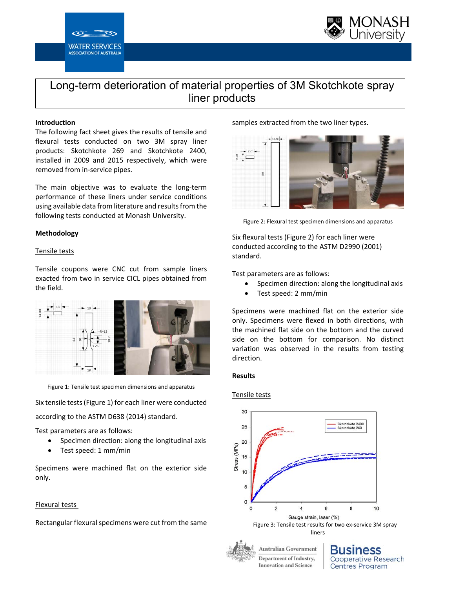



# Long-term deterioration of material properties of 3M Skotchkote spray liner products

# **Introduction**

The following fact sheet gives the results of tensile and flexural tests conducted on two 3M spray liner products: Skotchkote 269 and Skotchkote 2400, installed in 2009 and 2015 respectively, which were removed from in‐service pipes.

The main objective was to evaluate the long-term performance of these liners under service conditions using available data from literature and results from the following tests conducted at Monash University.

# **Methodology**

# Tensile tests

Tensile coupons were CNC cut from sample liners exacted from two in service CICL pipes obtained from the field.



Figure 1: Tensile test specimen dimensions and apparatus

Six tensile tests (Figure 1) for each liner were conducted according to the ASTM D638 (2014) standard.

Test parameters are as follows:

- Specimen direction: along the longitudinal axis
- Test speed: 1 mm/min

Specimens were machined flat on the exterior side only.

# Flexural tests

Rectangular flexural specimens were cut from the same

samples extracted from the two liner types.



Figure 2: Flexural test specimen dimensions and apparatus

Six flexural tests (Figure 2) for each liner were conducted according to the ASTM D2990 (2001) standard.

Test parameters are as follows:

- Specimen direction: along the longitudinal axis
- Test speed: 2 mm/min

Specimens were machined flat on the exterior side only. Specimens were flexed in both directions, with the machined flat side on the bottom and the curved side on the bottom for comparison. No distinct variation was observed in the results from testing direction.

# **Results**

# Tensile tests



**Department of Industry, Innovation and Science** 

**Cooperative Research Centres Program**